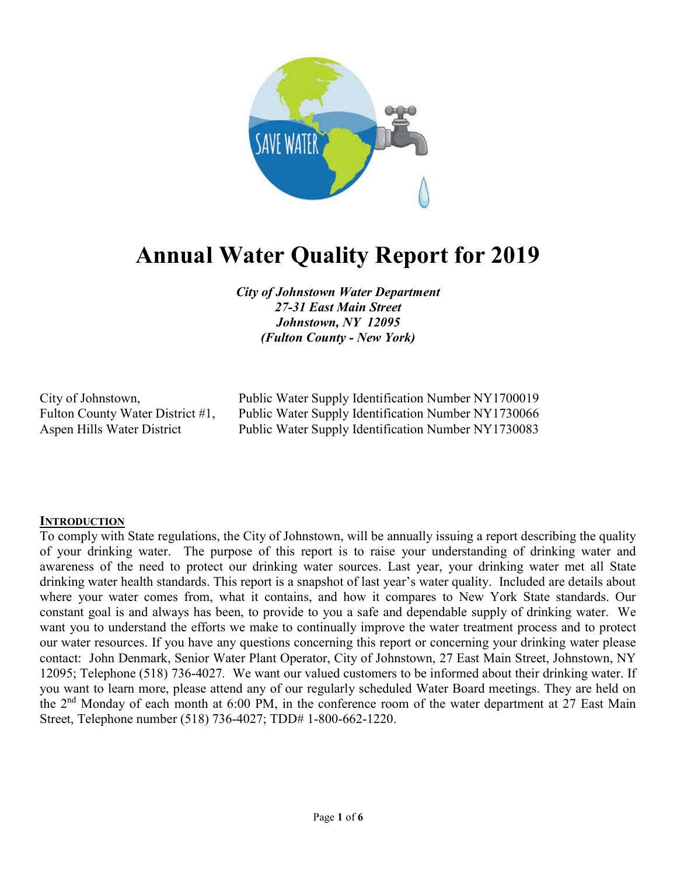

# Annual Water Quality Report for 2019

City of Johnstown Water Department 27-31 East Main Street Johnstown, NY 12095 (Fulton County - New York)

City of Johnstown, Public Water Supply Identification Number NY1700019 Fulton County Water District #1, Public Water Supply Identification Number NY1730066 Aspen Hills Water District Public Water Supply Identification Number NY1730083

## **INTRODUCTION**

To comply with State regulations, the City of Johnstown, will be annually issuing a report describing the quality of your drinking water. The purpose of this report is to raise your understanding of drinking water and awareness of the need to protect our drinking water sources. Last year, your drinking water met all State drinking water health standards. This report is a snapshot of last year's water quality. Included are details about where your water comes from, what it contains, and how it compares to New York State standards. Our constant goal is and always has been, to provide to you a safe and dependable supply of drinking water. We want you to understand the efforts we make to continually improve the water treatment process and to protect our water resources. If you have any questions concerning this report or concerning your drinking water please contact: John Denmark, Senior Water Plant Operator, City of Johnstown, 27 East Main Street, Johnstown, NY 12095; Telephone (518) 736-4027. We want our valued customers to be informed about their drinking water. If you want to learn more, please attend any of our regularly scheduled Water Board meetings. They are held on the  $2<sup>nd</sup>$  Monday of each month at 6:00 PM, in the conference room of the water department at 27 East Main Street, Telephone number (518) 736-4027; TDD# 1-800-662-1220.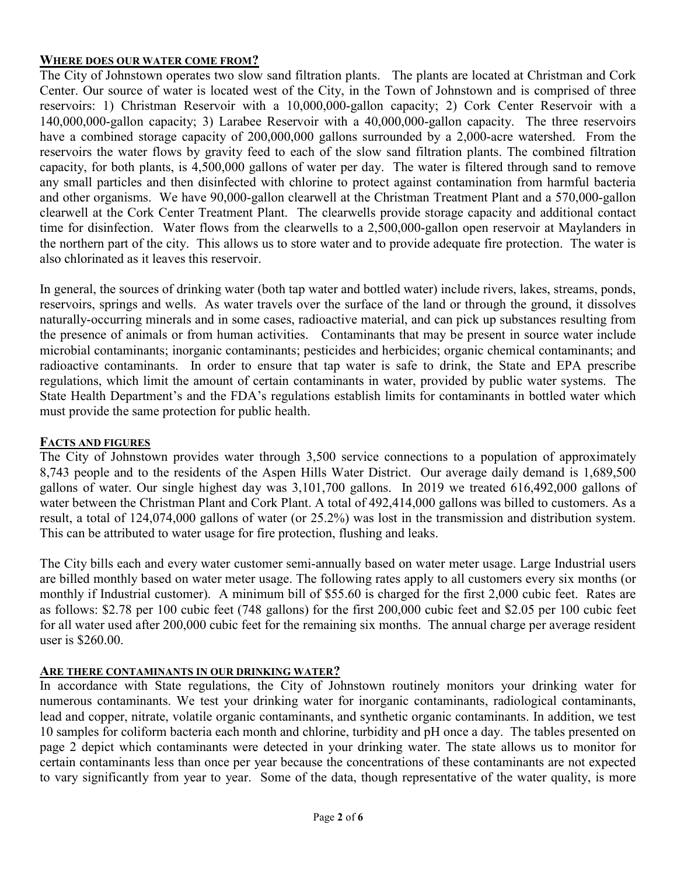## WHERE DOES OUR WATER COME FROM?

The City of Johnstown operates two slow sand filtration plants. The plants are located at Christman and Cork Center. Our source of water is located west of the City, in the Town of Johnstown and is comprised of three reservoirs: 1) Christman Reservoir with a 10,000,000-gallon capacity; 2) Cork Center Reservoir with a 140,000,000-gallon capacity; 3) Larabee Reservoir with a 40,000,000-gallon capacity. The three reservoirs have a combined storage capacity of 200,000,000 gallons surrounded by a 2,000-acre watershed. From the reservoirs the water flows by gravity feed to each of the slow sand filtration plants. The combined filtration capacity, for both plants, is 4,500,000 gallons of water per day. The water is filtered through sand to remove any small particles and then disinfected with chlorine to protect against contamination from harmful bacteria and other organisms. We have 90,000-gallon clearwell at the Christman Treatment Plant and a 570,000-gallon clearwell at the Cork Center Treatment Plant. The clearwells provide storage capacity and additional contact time for disinfection. Water flows from the clearwells to a 2,500,000-gallon open reservoir at Maylanders in the northern part of the city. This allows us to store water and to provide adequate fire protection. The water is also chlorinated as it leaves this reservoir.

In general, the sources of drinking water (both tap water and bottled water) include rivers, lakes, streams, ponds, reservoirs, springs and wells. As water travels over the surface of the land or through the ground, it dissolves naturally-occurring minerals and in some cases, radioactive material, and can pick up substances resulting from the presence of animals or from human activities. Contaminants that may be present in source water include microbial contaminants; inorganic contaminants; pesticides and herbicides; organic chemical contaminants; and radioactive contaminants. In order to ensure that tap water is safe to drink, the State and EPA prescribe regulations, which limit the amount of certain contaminants in water, provided by public water systems. The State Health Department's and the FDA's regulations establish limits for contaminants in bottled water which must provide the same protection for public health.

## FACTS AND FIGURES

The City of Johnstown provides water through 3,500 service connections to a population of approximately 8,743 people and to the residents of the Aspen Hills Water District. Our average daily demand is 1,689,500 gallons of water. Our single highest day was 3,101,700 gallons. In 2019 we treated 616,492,000 gallons of water between the Christman Plant and Cork Plant. A total of 492,414,000 gallons was billed to customers. As a result, a total of 124,074,000 gallons of water (or 25.2%) was lost in the transmission and distribution system. This can be attributed to water usage for fire protection, flushing and leaks.

The City bills each and every water customer semi-annually based on water meter usage. Large Industrial users are billed monthly based on water meter usage. The following rates apply to all customers every six months (or monthly if Industrial customer). A minimum bill of \$55.60 is charged for the first 2,000 cubic feet. Rates are as follows: \$2.78 per 100 cubic feet (748 gallons) for the first 200,000 cubic feet and \$2.05 per 100 cubic feet for all water used after 200,000 cubic feet for the remaining six months. The annual charge per average resident user is \$260.00.

## ARE THERE CONTAMINANTS IN OUR DRINKING WATER?

In accordance with State regulations, the City of Johnstown routinely monitors your drinking water for numerous contaminants. We test your drinking water for inorganic contaminants, radiological contaminants, lead and copper, nitrate, volatile organic contaminants, and synthetic organic contaminants. In addition, we test 10 samples for coliform bacteria each month and chlorine, turbidity and pH once a day. The tables presented on page 2 depict which contaminants were detected in your drinking water. The state allows us to monitor for certain contaminants less than once per year because the concentrations of these contaminants are not expected to vary significantly from year to year. Some of the data, though representative of the water quality, is more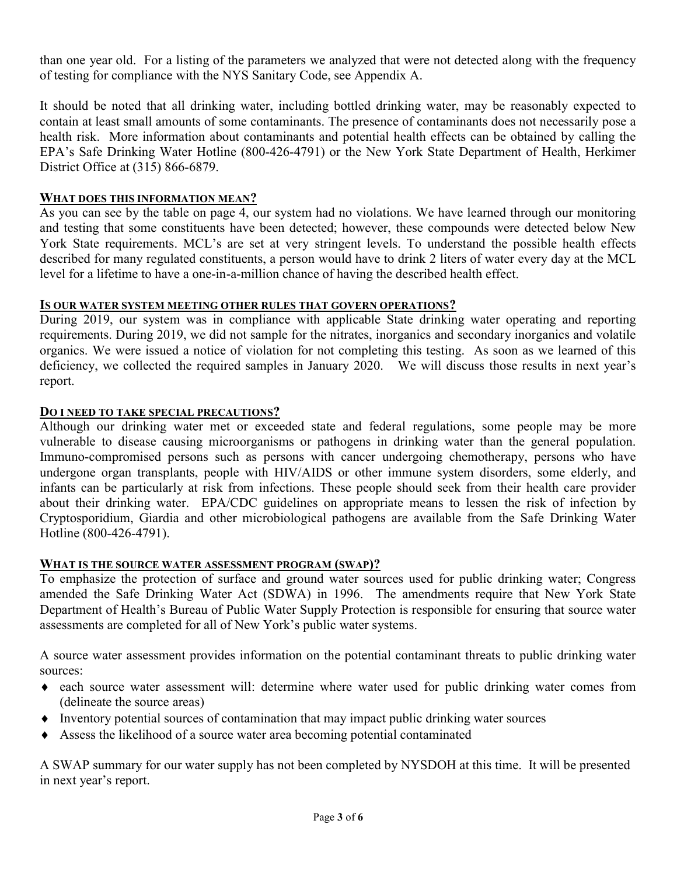than one year old. For a listing of the parameters we analyzed that were not detected along with the frequency of testing for compliance with the NYS Sanitary Code, see Appendix A.

It should be noted that all drinking water, including bottled drinking water, may be reasonably expected to contain at least small amounts of some contaminants. The presence of contaminants does not necessarily pose a health risk. More information about contaminants and potential health effects can be obtained by calling the EPA's Safe Drinking Water Hotline (800-426-4791) or the New York State Department of Health, Herkimer District Office at (315) 866-6879.

## WHAT DOES THIS INFORMATION MEAN?

As you can see by the table on page 4, our system had no violations. We have learned through our monitoring and testing that some constituents have been detected; however, these compounds were detected below New York State requirements. MCL's are set at very stringent levels. To understand the possible health effects described for many regulated constituents, a person would have to drink 2 liters of water every day at the MCL level for a lifetime to have a one-in-a-million chance of having the described health effect.

## IS OUR WATER SYSTEM MEETING OTHER RULES THAT GOVERN OPERATIONS?

During 2019, our system was in compliance with applicable State drinking water operating and reporting requirements. During 2019, we did not sample for the nitrates, inorganics and secondary inorganics and volatile organics. We were issued a notice of violation for not completing this testing. As soon as we learned of this deficiency, we collected the required samples in January 2020. We will discuss those results in next year's report.

## DO I NEED TO TAKE SPECIAL PRECAUTIONS?

Although our drinking water met or exceeded state and federal regulations, some people may be more vulnerable to disease causing microorganisms or pathogens in drinking water than the general population. Immuno-compromised persons such as persons with cancer undergoing chemotherapy, persons who have undergone organ transplants, people with HIV/AIDS or other immune system disorders, some elderly, and infants can be particularly at risk from infections. These people should seek from their health care provider about their drinking water. EPA/CDC guidelines on appropriate means to lessen the risk of infection by Cryptosporidium, Giardia and other microbiological pathogens are available from the Safe Drinking Water Hotline (800-426-4791).

## WHAT IS THE SOURCE WATER ASSESSMENT PROGRAM (SWAP)?

To emphasize the protection of surface and ground water sources used for public drinking water; Congress amended the Safe Drinking Water Act (SDWA) in 1996. The amendments require that New York State Department of Health's Bureau of Public Water Supply Protection is responsible for ensuring that source water assessments are completed for all of New York's public water systems.

A source water assessment provides information on the potential contaminant threats to public drinking water sources:

- each source water assessment will: determine where water used for public drinking water comes from (delineate the source areas)
- $\bullet$  Inventory potential sources of contamination that may impact public drinking water sources
- Assess the likelihood of a source water area becoming potential contaminated

A SWAP summary for our water supply has not been completed by NYSDOH at this time. It will be presented in next year's report.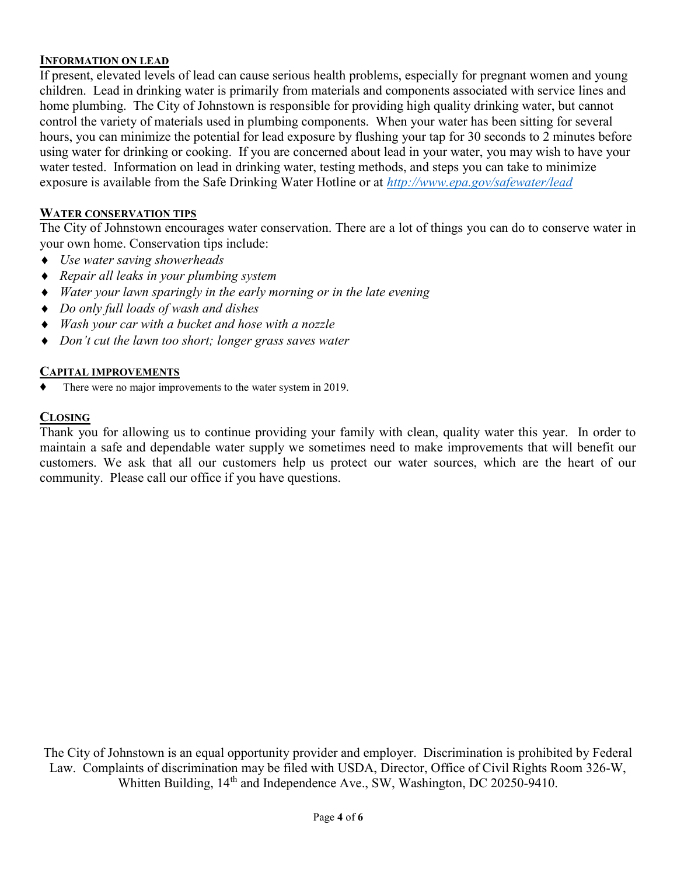## INFORMATION ON LEAD

If present, elevated levels of lead can cause serious health problems, especially for pregnant women and young children. Lead in drinking water is primarily from materials and components associated with service lines and home plumbing. The City of Johnstown is responsible for providing high quality drinking water, but cannot control the variety of materials used in plumbing components. When your water has been sitting for several hours, you can minimize the potential for lead exposure by flushing your tap for 30 seconds to 2 minutes before using water for drinking or cooking. If you are concerned about lead in your water, you may wish to have your water tested. Information on lead in drinking water, testing methods, and steps you can take to minimize exposure is available from the Safe Drinking Water Hotline or at http://www.epa.gov/safewater/lead

## WATER CONSERVATION TIPS

The City of Johnstown encourages water conservation. There are a lot of things you can do to conserve water in your own home. Conservation tips include:

- $\triangleleft$  Use water saving showerheads
- Repair all leaks in your plumbing system
- Water your lawn sparingly in the early morning or in the late evening
- Do only full loads of wash and dishes
- Wash your car with a bucket and hose with a nozzle
- Don't cut the lawn too short; longer grass saves water

#### CAPITAL IMPROVEMENTS

There were no major improvements to the water system in 2019.

## CLOSING

Thank you for allowing us to continue providing your family with clean, quality water this year. In order to maintain a safe and dependable water supply we sometimes need to make improvements that will benefit our customers. We ask that all our customers help us protect our water sources, which are the heart of our community. Please call our office if you have questions.

The City of Johnstown is an equal opportunity provider and employer. Discrimination is prohibited by Federal Law. Complaints of discrimination may be filed with USDA, Director, Office of Civil Rights Room 326-W, Whitten Building, 14<sup>th</sup> and Independence Ave., SW, Washington, DC 20250-9410.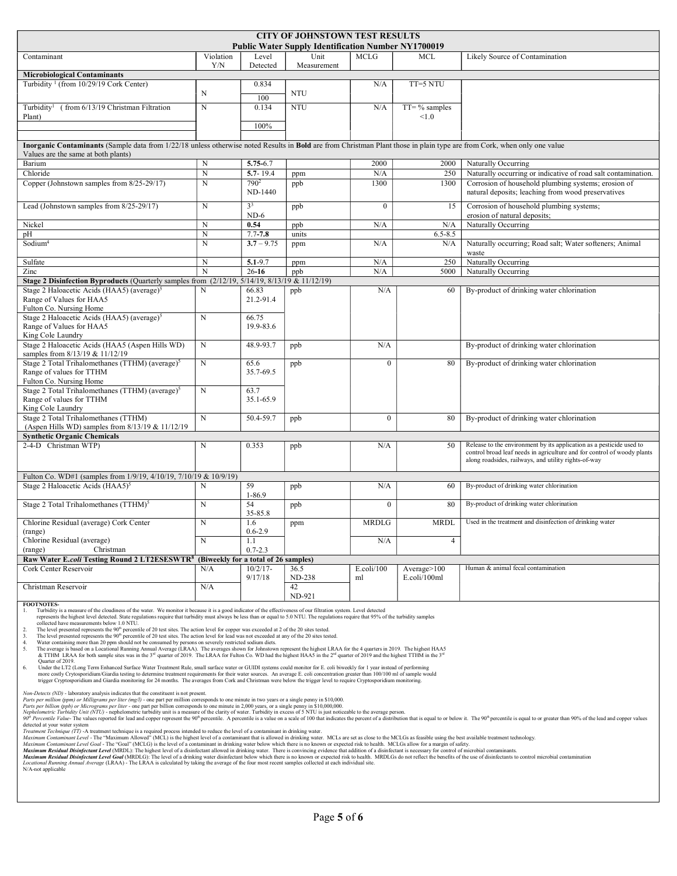| <b>CITY OF JOHNSTOWN TEST RESULTS</b><br><b>Public Water Supply Identification Number NY1700019</b>                                                                                                                                                                                                                                                                                                                                             |                |                          |              |                        |                   |                                                                                                                                                 |  |  |  |  |
|-------------------------------------------------------------------------------------------------------------------------------------------------------------------------------------------------------------------------------------------------------------------------------------------------------------------------------------------------------------------------------------------------------------------------------------------------|----------------|--------------------------|--------------|------------------------|-------------------|-------------------------------------------------------------------------------------------------------------------------------------------------|--|--|--|--|
| Contaminant                                                                                                                                                                                                                                                                                                                                                                                                                                     | Violation      | Level                    | Unit         | <b>MCLG</b>            | <b>MCL</b>        | Likely Source of Contamination                                                                                                                  |  |  |  |  |
|                                                                                                                                                                                                                                                                                                                                                                                                                                                 | Y/N            | Detected                 | Measurement  |                        |                   |                                                                                                                                                 |  |  |  |  |
| <b>Microbiological Contaminants</b>                                                                                                                                                                                                                                                                                                                                                                                                             |                |                          |              |                        |                   |                                                                                                                                                 |  |  |  |  |
| Turbidity <sup>1</sup> (from $10/29/19$ Cork Center)                                                                                                                                                                                                                                                                                                                                                                                            | N              | 0.834                    | <b>NTU</b>   | N/A                    | $TT=5 N T U$      |                                                                                                                                                 |  |  |  |  |
| Turbidity <sup>1</sup> (from 6/13/19 Christman Filtration                                                                                                                                                                                                                                                                                                                                                                                       | N              | 100<br>0.134             | <b>NTU</b>   | N/A                    | $TT = \%$ samples |                                                                                                                                                 |  |  |  |  |
| Plant)                                                                                                                                                                                                                                                                                                                                                                                                                                          |                |                          |              |                        | < 1.0             |                                                                                                                                                 |  |  |  |  |
|                                                                                                                                                                                                                                                                                                                                                                                                                                                 |                | 100%                     |              |                        |                   |                                                                                                                                                 |  |  |  |  |
| Inorganic Contaminants (Sample data from 1/22/18 unless otherwise noted Results in Bold are from Christman Plant those in plain type are from Cork, when only one value                                                                                                                                                                                                                                                                         |                |                          |              |                        |                   |                                                                                                                                                 |  |  |  |  |
| Values are the same at both plants)                                                                                                                                                                                                                                                                                                                                                                                                             |                |                          |              |                        |                   |                                                                                                                                                 |  |  |  |  |
| Barium<br>Chloride                                                                                                                                                                                                                                                                                                                                                                                                                              | N<br>${\bf N}$ | 5.75-6.7<br>5.7-19.4     |              | 2000<br>N/A            | 2000<br>250       | Naturally Occurring<br>Naturally occurring or indicative of road salt contamination.                                                            |  |  |  |  |
| Copper (Johnstown samples from 8/25-29/17)                                                                                                                                                                                                                                                                                                                                                                                                      | $\mathbf N$    | $790^2$                  | ppm<br>ppb   | 1300                   | 1300              | Corrosion of household plumbing systems; erosion of                                                                                             |  |  |  |  |
|                                                                                                                                                                                                                                                                                                                                                                                                                                                 |                | ND-1440                  |              |                        |                   | natural deposits; leaching from wood preservatives                                                                                              |  |  |  |  |
| Lead (Johnstown samples from 8/25-29/17)                                                                                                                                                                                                                                                                                                                                                                                                        | N              | 3 <sup>3</sup><br>$ND-6$ | ppb          | $\mathbf{0}$           | 15                | Corrosion of household plumbing systems;<br>erosion of natural deposits;                                                                        |  |  |  |  |
| Nickel                                                                                                                                                                                                                                                                                                                                                                                                                                          | N              | 0.54                     | ppb          | N/A                    | N/A               | Naturally Occurring                                                                                                                             |  |  |  |  |
| pH                                                                                                                                                                                                                                                                                                                                                                                                                                              | $\mathbf N$    | $7.7 - 7.8$              | units        |                        | $6.5 - 8.5$       |                                                                                                                                                 |  |  |  |  |
| Sodium <sup>4</sup>                                                                                                                                                                                                                                                                                                                                                                                                                             | $\mathbf N$    | $3.7 - 9.75$             | ppm          | N/A                    | N/A               | Naturally occurring; Road salt; Water softeners; Animal<br>waste                                                                                |  |  |  |  |
| Sulfate                                                                                                                                                                                                                                                                                                                                                                                                                                         | N              | $5.1 - 9.7$              | ppm          | N/A                    | 250               | Naturally Occurring                                                                                                                             |  |  |  |  |
| Zinc                                                                                                                                                                                                                                                                                                                                                                                                                                            | N              | $26 - 16$                | ppb          | N/A                    | 5000              | Naturally Occurring                                                                                                                             |  |  |  |  |
| Stage 2 Disinfection Byproducts (Quarterly samples from (2/12/19, 5/14/19, 8/13/19 & 11/12/19)                                                                                                                                                                                                                                                                                                                                                  |                |                          |              |                        |                   |                                                                                                                                                 |  |  |  |  |
| Stage 2 Haloacetic Acids (HAA5) (average) <sup>5</sup><br>Range of Values for HAA5                                                                                                                                                                                                                                                                                                                                                              | N              | 66.83<br>21.2-91.4       | ppb          | N/A                    | -60               | By-product of drinking water chlorination                                                                                                       |  |  |  |  |
| Fulton Co. Nursing Home                                                                                                                                                                                                                                                                                                                                                                                                                         |                |                          |              |                        |                   |                                                                                                                                                 |  |  |  |  |
| Stage 2 Haloacetic Acids (HAA5) (average) <sup>5</sup>                                                                                                                                                                                                                                                                                                                                                                                          | $\mathbf N$    | 66.75                    |              |                        |                   |                                                                                                                                                 |  |  |  |  |
| Range of Values for HAA5                                                                                                                                                                                                                                                                                                                                                                                                                        |                | 19.9-83.6                |              |                        |                   |                                                                                                                                                 |  |  |  |  |
| King Cole Laundry<br>Stage 2 Haloacetic Acids (HAA5 (Aspen Hills WD)                                                                                                                                                                                                                                                                                                                                                                            | $\mathbf N$    | 48.9-93.7                | ppb          | N/A                    |                   | By-product of drinking water chlorination                                                                                                       |  |  |  |  |
| samples from 8/13/19 & 11/12/19                                                                                                                                                                                                                                                                                                                                                                                                                 |                |                          |              |                        |                   |                                                                                                                                                 |  |  |  |  |
| Stage 2 Total Trihalomethanes (TTHM) (average) <sup>5</sup>                                                                                                                                                                                                                                                                                                                                                                                     | N              | 65.6                     | ppb          | $\mathbf{0}$           | 80                | By-product of drinking water chlorination                                                                                                       |  |  |  |  |
| Range of values for TTHM<br>Fulton Co. Nursing Home                                                                                                                                                                                                                                                                                                                                                                                             |                | 35.7-69.5                |              |                        |                   |                                                                                                                                                 |  |  |  |  |
| Stage 2 Total Trihalomethanes (TTHM) (average) <sup>5</sup>                                                                                                                                                                                                                                                                                                                                                                                     | $\mathbf N$    | 63.7                     |              |                        |                   |                                                                                                                                                 |  |  |  |  |
| Range of values for TTHM                                                                                                                                                                                                                                                                                                                                                                                                                        |                | 35.1-65.9                |              |                        |                   |                                                                                                                                                 |  |  |  |  |
| King Cole Laundry<br>Stage 2 Total Trihalomethanes (TTHM)                                                                                                                                                                                                                                                                                                                                                                                       | N              | 50.4-59.7                |              | $\mathbf{0}$           | 80                | By-product of drinking water chlorination                                                                                                       |  |  |  |  |
| (Aspen Hills WD) samples from 8/13/19 & 11/12/19                                                                                                                                                                                                                                                                                                                                                                                                |                |                          | ppb          |                        |                   |                                                                                                                                                 |  |  |  |  |
| <b>Synthetic Organic Chemicals</b>                                                                                                                                                                                                                                                                                                                                                                                                              |                |                          |              |                        |                   |                                                                                                                                                 |  |  |  |  |
| 2-4-D Christman WTP)                                                                                                                                                                                                                                                                                                                                                                                                                            | $\mathbf N$    | 0.353                    | ppb          | N/A                    | 50                | Release to the environment by its application as a pesticide used to<br>control broad leaf needs in agriculture and for control of woody plants |  |  |  |  |
|                                                                                                                                                                                                                                                                                                                                                                                                                                                 |                |                          |              |                        |                   | along roadsides, railways, and utility rights-of-way                                                                                            |  |  |  |  |
| Fulton Co. WD#1 (samples from 1/9/19, 4/10/19, 7/10/19 & 10/9/19)                                                                                                                                                                                                                                                                                                                                                                               |                |                          |              |                        |                   |                                                                                                                                                 |  |  |  |  |
| Stage 2 Haloacetic Acids (HAA5) <sup>5</sup>                                                                                                                                                                                                                                                                                                                                                                                                    | N              | 59                       | ppb          | N/A                    | 60                | By-product of drinking water chlorination                                                                                                       |  |  |  |  |
|                                                                                                                                                                                                                                                                                                                                                                                                                                                 |                | $1 - 86.9$               |              |                        |                   |                                                                                                                                                 |  |  |  |  |
| Stage 2 Total Trihalomethanes (TTHM) <sup>5</sup>                                                                                                                                                                                                                                                                                                                                                                                               | N              | 54<br>35-85.8            | ppb          | $\bf{0}$               | 80                | By-product of drinking water chlorination                                                                                                       |  |  |  |  |
| Chlorine Residual (average) Cork Center                                                                                                                                                                                                                                                                                                                                                                                                         | ${\bf N}$      | 1.0                      | ppm          | <b>MRDLG</b>           | <b>MRDL</b>       | Used in the treatment and disinfection of drinking water                                                                                        |  |  |  |  |
| (range)<br>Chlorine Residual (average)                                                                                                                                                                                                                                                                                                                                                                                                          | N              | $0.6 - 2.9$<br>1.1       |              | N/A                    | $\overline{4}$    |                                                                                                                                                 |  |  |  |  |
| Christman<br>(range)                                                                                                                                                                                                                                                                                                                                                                                                                            |                | $0.7 - 2.3$              |              |                        |                   |                                                                                                                                                 |  |  |  |  |
| Raw Water E.coli Testing Round 2 LT2ESESWTR <sup>8</sup><br>(Biweekly for a total of 26 samples)                                                                                                                                                                                                                                                                                                                                                |                |                          |              |                        |                   |                                                                                                                                                 |  |  |  |  |
| Cork Center Reservoir                                                                                                                                                                                                                                                                                                                                                                                                                           | N/A            | $10/2/17$ -              | 36.5         | $E_{\text{.}coli/100}$ | Average>100       | Human & animal fecal contamination                                                                                                              |  |  |  |  |
| Christman Reservoir                                                                                                                                                                                                                                                                                                                                                                                                                             | N/A            | 9/17/18                  | ND-238<br>42 | ml                     | E.coli/100ml      |                                                                                                                                                 |  |  |  |  |
|                                                                                                                                                                                                                                                                                                                                                                                                                                                 |                |                          | ND-921       |                        |                   |                                                                                                                                                 |  |  |  |  |
| <b>FOOTNOTES-</b><br>Turbidity is a measure of the cloudiness of the water. We monitor it because it is a good indicator of the effectiveness of our filtration system. Level detected<br>1.                                                                                                                                                                                                                                                    |                |                          |              |                        |                   |                                                                                                                                                 |  |  |  |  |
| represents the highest level detected. State regulations require that turbidity must always be less than or equal to 5.0 NTU. The regulations require that 95% of the turbidity samples<br>collected have measurements below 1.0 NTU.                                                                                                                                                                                                           |                |                          |              |                        |                   |                                                                                                                                                 |  |  |  |  |
| The level presented represents the 90 <sup>th</sup> percentile of 20 test sites. The action level for copper was exceeded at 2 of the 20 sites tested.<br>2.<br>The level presented represents the $90^{\circ}$ percentile of 20 test sites. The action level for lead was not exceeded at any of the 20 sites tested.<br>3.                                                                                                                    |                |                          |              |                        |                   |                                                                                                                                                 |  |  |  |  |
| 4.<br>Water containing more than 20 ppm should not be consumed by persons on severely restricted sodium diets.                                                                                                                                                                                                                                                                                                                                  |                |                          |              |                        |                   |                                                                                                                                                 |  |  |  |  |
| The average is based on a Locational Running Annual Average (LRAA). The averages shown for Johnstown represent the highest LRAA for the 4 quarters in 2019. The highest HAA5<br>5.<br>& TTHM LRAA for both sample sites was in the 3 <sup>rd</sup> quarter of 2019. The LRAA for Fulton Co. WD had the highest HAA5 in the 2 <sup>nd</sup> quarter of 2019 and the highest TTHM in the 3 <sup>rd</sup>                                          |                |                          |              |                        |                   |                                                                                                                                                 |  |  |  |  |
| Ouarter of 2019.<br>Under the LT2 (Long Term Enhanced Surface Water Treatment Rule, small surface water or GUIDI systems could monitor for E. coli biweekly for 1 year instead of performing<br>6.                                                                                                                                                                                                                                              |                |                          |              |                        |                   |                                                                                                                                                 |  |  |  |  |
| more costly Crytosporidium/Giardia testing to determine treatment requirements for their water sources. An average E. coli concentration greater than 100/100 ml of sample would<br>trigger Cryptosporidium and Giardia monitoring for 24 months. The averages from Cork and Christman were below the trigger level to require Cryptosporidium monitoring.                                                                                      |                |                          |              |                        |                   |                                                                                                                                                 |  |  |  |  |
| Non-Detects (ND) - laboratory analysis indicates that the constituent is not present.                                                                                                                                                                                                                                                                                                                                                           |                |                          |              |                        |                   |                                                                                                                                                 |  |  |  |  |
| Parts per million (ppm) or Milligrams per liter (mg/l) - one part per million corresponds to one minute in two years or a single penny in \$10,000.<br>Parts per billion (ppb) or Micrograms per liter - one part per billion corresponds to one minute in 2,000 years, or a single penny in \$10,000,000.                                                                                                                                      |                |                          |              |                        |                   |                                                                                                                                                 |  |  |  |  |
| Nephelometric Turbidity Unit (NTU) - nephelometric turbidity unit is a measure of the clarity of water. Turbidity in excess of 5 NTU is just noticeable to the average person.<br>90 <sup>th</sup> Percentile Value-The values reported for lead and copper represent the 90 <sup>th</sup> percentile. A percentile is a value on a scale of 100 that indicates the percent of a distribution that is equal to or below it. The 90 <sup>t</sup> |                |                          |              |                        |                   |                                                                                                                                                 |  |  |  |  |
| detected at your water system                                                                                                                                                                                                                                                                                                                                                                                                                   |                |                          |              |                        |                   |                                                                                                                                                 |  |  |  |  |

detected at your water system<br>*Maximum Contaminant Level* The "Maximum Allowed" (MCL) is the highest level of a contaminant that is allowed in drinking water. MCLs are set as close to the MCLGs as feasible using the bast a